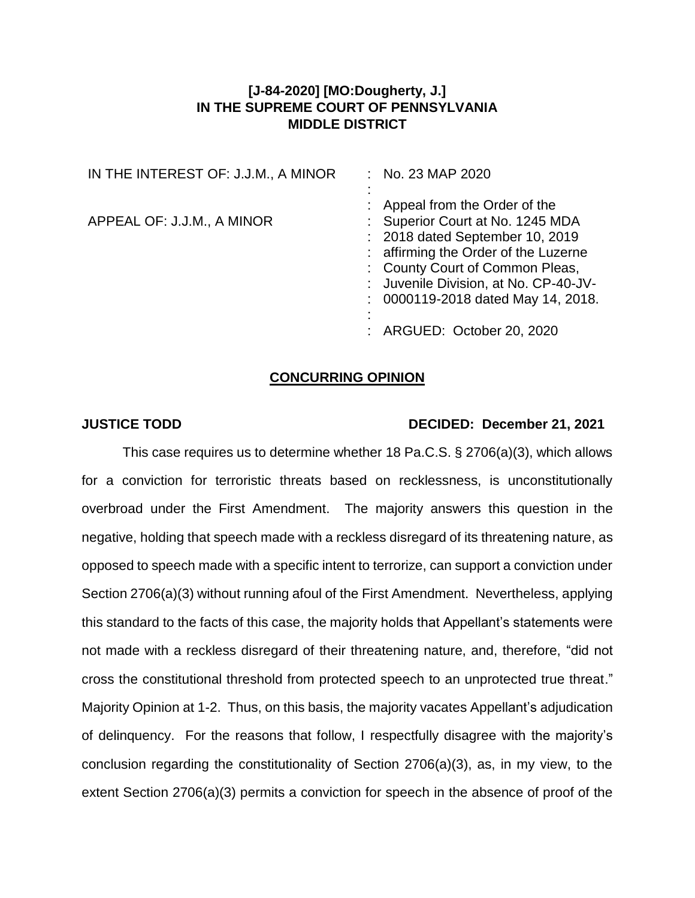## **[J-84-2020] [MO:Dougherty, J.] IN THE SUPREME COURT OF PENNSYLVANIA MIDDLE DISTRICT**

| IN THE INTEREST OF: J.J.M., A MINOR | : No. 23 MAP 2020                                                                                                                                                                                                                                               |
|-------------------------------------|-----------------------------------------------------------------------------------------------------------------------------------------------------------------------------------------------------------------------------------------------------------------|
| APPEAL OF: J.J.M., A MINOR          | : Appeal from the Order of the<br>: Superior Court at No. 1245 MDA<br>: 2018 dated September 10, 2019<br>: affirming the Order of the Luzerne<br>: County Court of Common Pleas,<br>: Juvenile Division, at No. CP-40-JV-<br>: 0000119-2018 dated May 14, 2018. |
|                                     | : ARGUED: October 20, 2020                                                                                                                                                                                                                                      |

## **CONCURRING OPINION**

## **JUSTICE TODD DECIDED: December 21, 2021**

This case requires us to determine whether 18 Pa.C.S. § 2706(a)(3), which allows for a conviction for terroristic threats based on recklessness, is unconstitutionally overbroad under the First Amendment. The majority answers this question in the negative, holding that speech made with a reckless disregard of its threatening nature, as opposed to speech made with a specific intent to terrorize, can support a conviction under Section 2706(a)(3) without running afoul of the First Amendment. Nevertheless, applying this standard to the facts of this case, the majority holds that Appellant's statements were not made with a reckless disregard of their threatening nature, and, therefore, "did not cross the constitutional threshold from protected speech to an unprotected true threat." Majority Opinion at 1-2. Thus, on this basis, the majority vacates Appellant's adjudication of delinquency. For the reasons that follow, I respectfully disagree with the majority's conclusion regarding the constitutionality of Section 2706(a)(3), as, in my view, to the extent Section 2706(a)(3) permits a conviction for speech in the absence of proof of the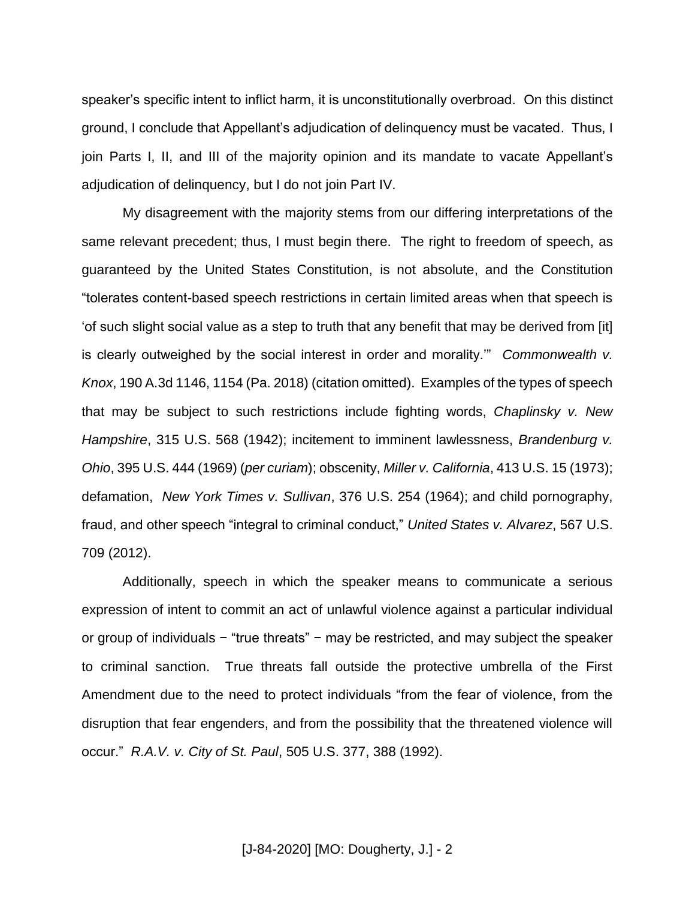speaker's specific intent to inflict harm, it is unconstitutionally overbroad. On this distinct ground, I conclude that Appellant's adjudication of delinquency must be vacated. Thus, I join Parts I, II, and III of the majority opinion and its mandate to vacate Appellant's adjudication of delinquency, but I do not join Part IV.

My disagreement with the majority stems from our differing interpretations of the same relevant precedent; thus, I must begin there. The right to freedom of speech, as guaranteed by the United States Constitution, is not absolute, and the Constitution "tolerates content-based speech restrictions in certain limited areas when that speech is 'of such slight social value as a step to truth that any benefit that may be derived from [it] is clearly outweighed by the social interest in order and morality.'" *Commonwealth v. Knox*, 190 A.3d 1146, 1154 (Pa. 2018) (citation omitted). Examples of the types of speech that may be subject to such restrictions include fighting words, *Chaplinsky v. New Hampshire*, 315 U.S. 568 (1942); incitement to imminent lawlessness, *Brandenburg v. Ohio*, 395 U.S. 444 (1969) (*per curiam*); obscenity, *Miller v. California*, 413 U.S. 15 (1973); defamation, *New York Times v. Sullivan*, 376 U.S. 254 (1964); and child pornography, fraud, and other speech "integral to criminal conduct," *United States v. Alvarez*, 567 U.S. 709 (2012).

Additionally, speech in which the speaker means to communicate a serious expression of intent to commit an act of unlawful violence against a particular individual or group of individuals − "true threats" − may be restricted, and may subject the speaker to criminal sanction. True threats fall outside the protective umbrella of the First Amendment due to the need to protect individuals "from the fear of violence, from the disruption that fear engenders, and from the possibility that the threatened violence will occur." *R.A.V. v. City of St. Paul*, 505 U.S. 377, 388 (1992).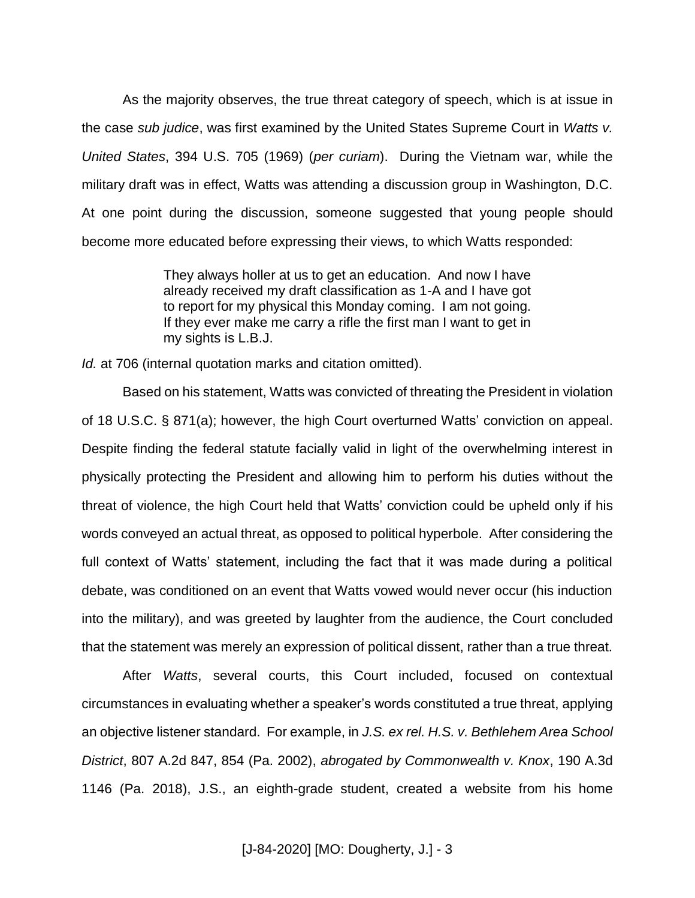As the majority observes, the true threat category of speech, which is at issue in the case *sub judice*, was first examined by the United States Supreme Court in *Watts v. United States*, 394 U.S. 705 (1969) (*per curiam*). During the Vietnam war, while the military draft was in effect, Watts was attending a discussion group in Washington, D.C. At one point during the discussion, someone suggested that young people should become more educated before expressing their views, to which Watts responded:

> They always holler at us to get an education. And now I have already received my draft classification as 1-A and I have got to report for my physical this Monday coming. I am not going. If they ever make me carry a rifle the first man I want to get in my sights is L.B.J.

*Id.* at 706 (internal quotation marks and citation omitted).

Based on his statement, Watts was convicted of threating the President in violation of 18 U.S.C. § 871(a); however, the high Court overturned Watts' conviction on appeal. Despite finding the federal statute facially valid in light of the overwhelming interest in physically protecting the President and allowing him to perform his duties without the threat of violence, the high Court held that Watts' conviction could be upheld only if his words conveyed an actual threat, as opposed to political hyperbole. After considering the full context of Watts' statement, including the fact that it was made during a political debate, was conditioned on an event that Watts vowed would never occur (his induction into the military), and was greeted by laughter from the audience, the Court concluded that the statement was merely an expression of political dissent, rather than a true threat.

After *Watts*, several courts, this Court included, focused on contextual circumstances in evaluating whether a speaker's words constituted a true threat, applying an objective listener standard. For example, in *J.S. ex rel. H.S. v. Bethlehem Area School District*, 807 A.2d 847, 854 (Pa. 2002), *abrogated by Commonwealth v. Knox*, 190 A.3d 1146 (Pa. 2018), J.S., an eighth-grade student, created a website from his home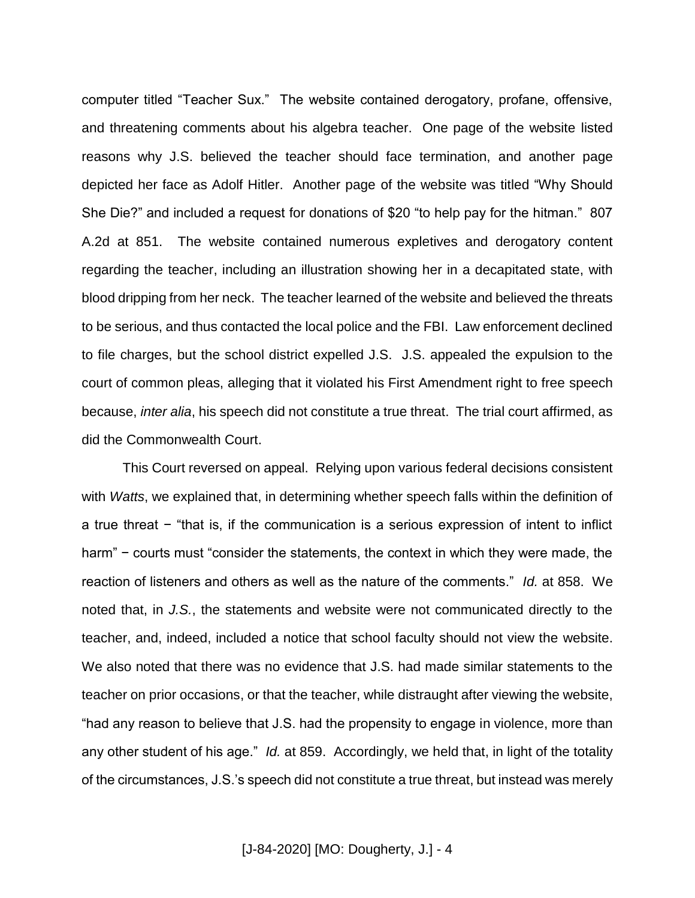computer titled "Teacher Sux." The website contained derogatory, profane, offensive, and threatening comments about his algebra teacher. One page of the website listed reasons why J.S. believed the teacher should face termination, and another page depicted her face as Adolf Hitler. Another page of the website was titled "Why Should She Die?" and included a request for donations of \$20 "to help pay for the hitman." 807 A.2d at 851. The website contained numerous expletives and derogatory content regarding the teacher, including an illustration showing her in a decapitated state, with blood dripping from her neck. The teacher learned of the website and believed the threats to be serious, and thus contacted the local police and the FBI. Law enforcement declined to file charges, but the school district expelled J.S. J.S. appealed the expulsion to the court of common pleas, alleging that it violated his First Amendment right to free speech because, *inter alia*, his speech did not constitute a true threat. The trial court affirmed, as did the Commonwealth Court.

This Court reversed on appeal. Relying upon various federal decisions consistent with *Watts*, we explained that, in determining whether speech falls within the definition of a true threat − "that is, if the communication is a serious expression of intent to inflict harm" – courts must "consider the statements, the context in which they were made, the reaction of listeners and others as well as the nature of the comments." *Id.* at 858. We noted that, in *J.S.*, the statements and website were not communicated directly to the teacher, and, indeed, included a notice that school faculty should not view the website. We also noted that there was no evidence that J.S. had made similar statements to the teacher on prior occasions, or that the teacher, while distraught after viewing the website, "had any reason to believe that J.S. had the propensity to engage in violence, more than any other student of his age." *Id.* at 859. Accordingly, we held that, in light of the totality of the circumstances, J.S.'s speech did not constitute a true threat, but instead was merely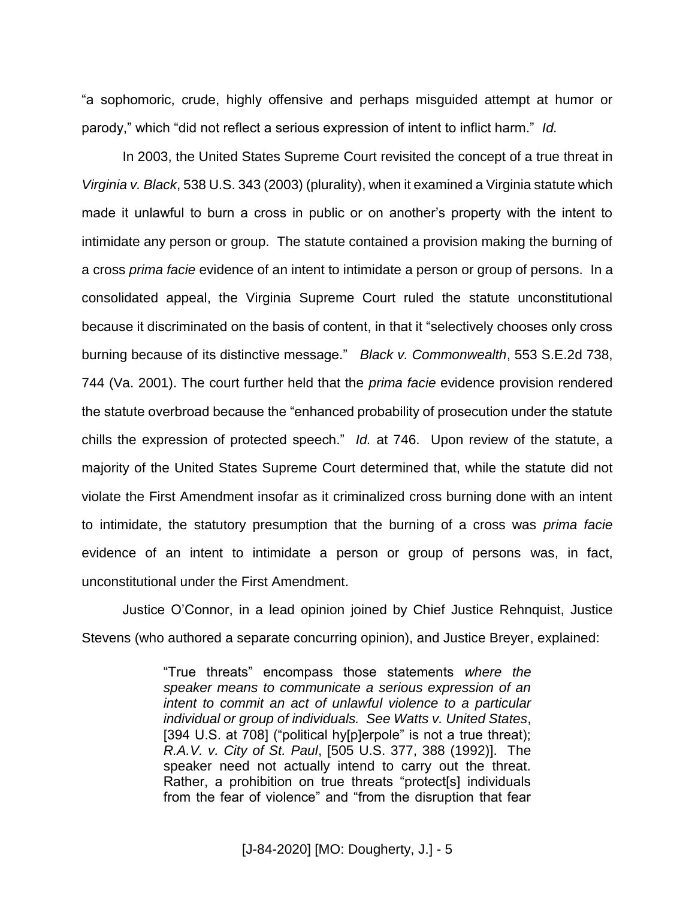"a sophomoric, crude, highly offensive and perhaps misguided attempt at humor or parody," which "did not reflect a serious expression of intent to inflict harm." *Id.*

In 2003, the United States Supreme Court revisited the concept of a true threat in *Virginia v. Black*, 538 U.S. 343 (2003) (plurality), when it examined a Virginia statute which made it unlawful to burn a cross in public or on another's property with the intent to intimidate any person or group. The statute contained a provision making the burning of a cross *prima facie* evidence of an intent to intimidate a person or group of persons. In a consolidated appeal, the Virginia Supreme Court ruled the statute unconstitutional because it discriminated on the basis of content, in that it "selectively chooses only cross burning because of its distinctive message." *Black v. Commonwealth*, 553 S.E.2d 738, 744 (Va. 2001). The court further held that the *prima facie* evidence provision rendered the statute overbroad because the "enhanced probability of prosecution under the statute chills the expression of protected speech." *Id.* at 746. Upon review of the statute, a majority of the United States Supreme Court determined that, while the statute did not violate the First Amendment insofar as it criminalized cross burning done with an intent to intimidate, the statutory presumption that the burning of a cross was *prima facie* evidence of an intent to intimidate a person or group of persons was, in fact, unconstitutional under the First Amendment.

Justice O'Connor, in a lead opinion joined by Chief Justice Rehnquist, Justice Stevens (who authored a separate concurring opinion), and Justice Breyer, explained:

> "True threats" encompass those statements *where the speaker means to communicate a serious expression of an intent to commit an act of unlawful violence to a particular individual or group of individuals. See Watts v. United States*, [394 U.S. at 708] ("political hy[p]erpole" is not a true threat); *R.A.V. v. City of St. Paul*, [505 U.S. 377, 388 (1992)]. The speaker need not actually intend to carry out the threat. Rather, a prohibition on true threats "protect[s] individuals from the fear of violence" and "from the disruption that fear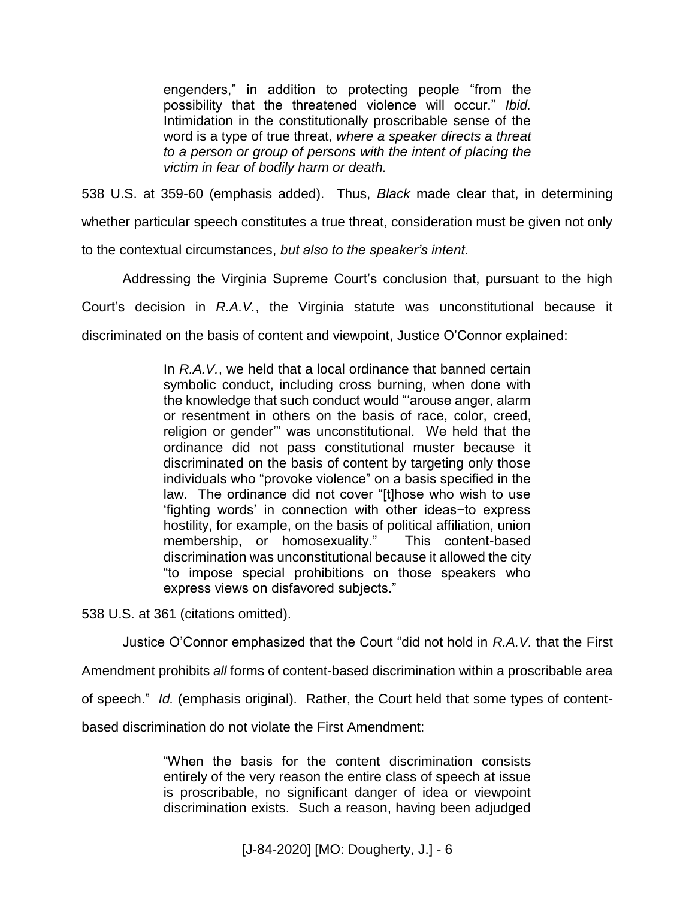engenders," in addition to protecting people "from the possibility that the threatened violence will occur." *Ibid.* Intimidation in the constitutionally proscribable sense of the word is a type of true threat, *where a speaker directs a threat to a person or group of persons with the intent of placing the victim in fear of bodily harm or death.*

538 U.S. at 359-60 (emphasis added). Thus, *Black* made clear that, in determining whether particular speech constitutes a true threat, consideration must be given not only to the contextual circumstances, *but also to the speaker's intent.*

Addressing the Virginia Supreme Court's conclusion that, pursuant to the high Court's decision in *R.A.V.*, the Virginia statute was unconstitutional because it discriminated on the basis of content and viewpoint, Justice O'Connor explained:

> In *R.A.V.*, we held that a local ordinance that banned certain symbolic conduct, including cross burning, when done with the knowledge that such conduct would "'arouse anger, alarm or resentment in others on the basis of race, color, creed, religion or gender'" was unconstitutional. We held that the ordinance did not pass constitutional muster because it discriminated on the basis of content by targeting only those individuals who "provoke violence" on a basis specified in the law. The ordinance did not cover "[t]hose who wish to use 'fighting words' in connection with other ideas−to express hostility, for example, on the basis of political affiliation, union membership, or homosexuality." This content-based discrimination was unconstitutional because it allowed the city "to impose special prohibitions on those speakers who express views on disfavored subjects."

538 U.S. at 361 (citations omitted).

Justice O'Connor emphasized that the Court "did not hold in *R.A.V.* that the First

Amendment prohibits *all* forms of content-based discrimination within a proscribable area

of speech." *Id.* (emphasis original). Rather, the Court held that some types of content-

based discrimination do not violate the First Amendment:

"When the basis for the content discrimination consists entirely of the very reason the entire class of speech at issue is proscribable, no significant danger of idea or viewpoint discrimination exists. Such a reason, having been adjudged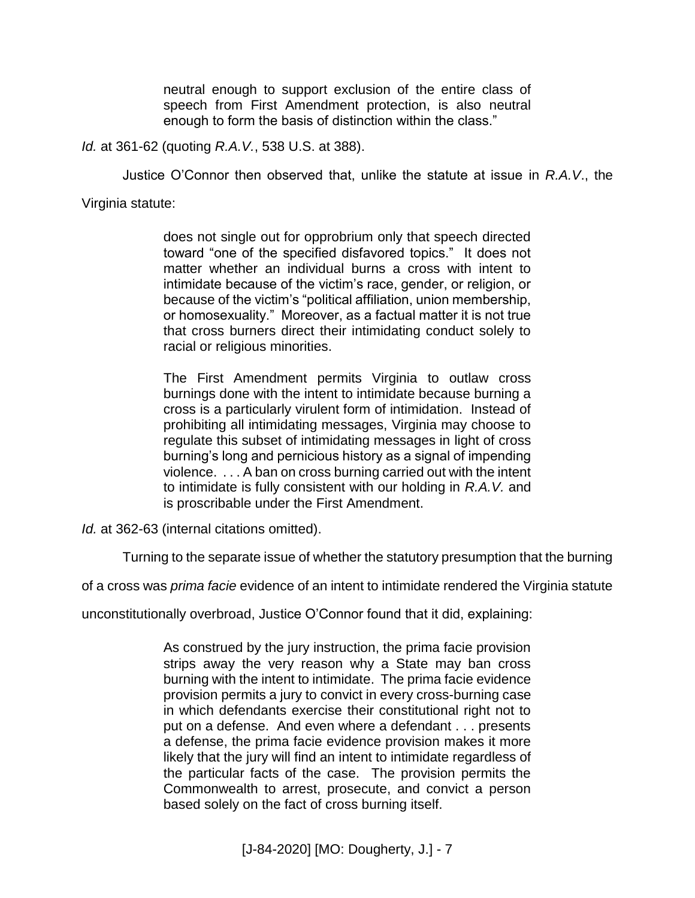neutral enough to support exclusion of the entire class of speech from First Amendment protection, is also neutral enough to form the basis of distinction within the class."

*Id.* at 361-62 (quoting *R.A.V.*, 538 U.S. at 388).

Justice O'Connor then observed that, unlike the statute at issue in *R.A.V*., the

Virginia statute:

does not single out for opprobrium only that speech directed toward "one of the specified disfavored topics." It does not matter whether an individual burns a cross with intent to intimidate because of the victim's race, gender, or religion, or because of the victim's "political affiliation, union membership, or homosexuality." Moreover, as a factual matter it is not true that cross burners direct their intimidating conduct solely to racial or religious minorities.

The First Amendment permits Virginia to outlaw cross burnings done with the intent to intimidate because burning a cross is a particularly virulent form of intimidation. Instead of prohibiting all intimidating messages, Virginia may choose to regulate this subset of intimidating messages in light of cross burning's long and pernicious history as a signal of impending violence. . . . A ban on cross burning carried out with the intent to intimidate is fully consistent with our holding in *R.A.V.* and is proscribable under the First Amendment.

*Id.* at 362-63 (internal citations omitted).

Turning to the separate issue of whether the statutory presumption that the burning

of a cross was *prima facie* evidence of an intent to intimidate rendered the Virginia statute

unconstitutionally overbroad, Justice O'Connor found that it did, explaining:

As construed by the jury instruction, the prima facie provision strips away the very reason why a State may ban cross burning with the intent to intimidate. The prima facie evidence provision permits a jury to convict in every cross-burning case in which defendants exercise their constitutional right not to put on a defense. And even where a defendant . . . presents a defense, the prima facie evidence provision makes it more likely that the jury will find an intent to intimidate regardless of the particular facts of the case. The provision permits the Commonwealth to arrest, prosecute, and convict a person based solely on the fact of cross burning itself.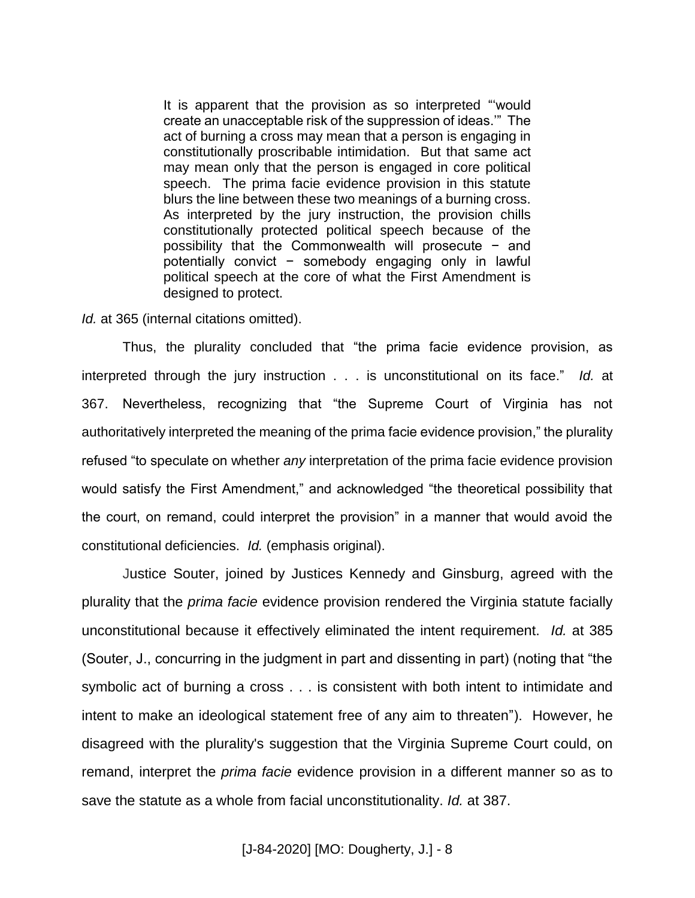It is apparent that the provision as so interpreted "'would create an unacceptable risk of the suppression of ideas.'" The act of burning a cross may mean that a person is engaging in constitutionally proscribable intimidation. But that same act may mean only that the person is engaged in core political speech. The prima facie evidence provision in this statute blurs the line between these two meanings of a burning cross. As interpreted by the jury instruction, the provision chills constitutionally protected political speech because of the possibility that the Commonwealth will prosecute − and potentially convict − somebody engaging only in lawful political speech at the core of what the First Amendment is designed to protect.

*Id.* at 365 (internal citations omitted).

Thus, the plurality concluded that "the prima facie evidence provision, as interpreted through the jury instruction . . . is unconstitutional on its face." *Id.* at 367. Nevertheless, recognizing that "the Supreme Court of Virginia has not authoritatively interpreted the meaning of the prima facie evidence provision," the plurality refused "to speculate on whether *any* interpretation of the prima facie evidence provision would satisfy the First Amendment," and acknowledged "the theoretical possibility that the court, on remand, could interpret the provision" in a manner that would avoid the constitutional deficiencies. *Id.* (emphasis original).

Justice Souter, joined by Justices Kennedy and Ginsburg, agreed with the plurality that the *prima facie* evidence provision rendered the Virginia statute facially unconstitutional because it effectively eliminated the intent requirement. *Id.* at 385 (Souter, J., concurring in the judgment in part and dissenting in part) (noting that "the symbolic act of burning a cross . . . is consistent with both intent to intimidate and intent to make an ideological statement free of any aim to threaten"). However, he disagreed with the plurality's suggestion that the Virginia Supreme Court could, on remand, interpret the *prima facie* evidence provision in a different manner so as to save the statute as a whole from facial unconstitutionality. *Id.* at 387.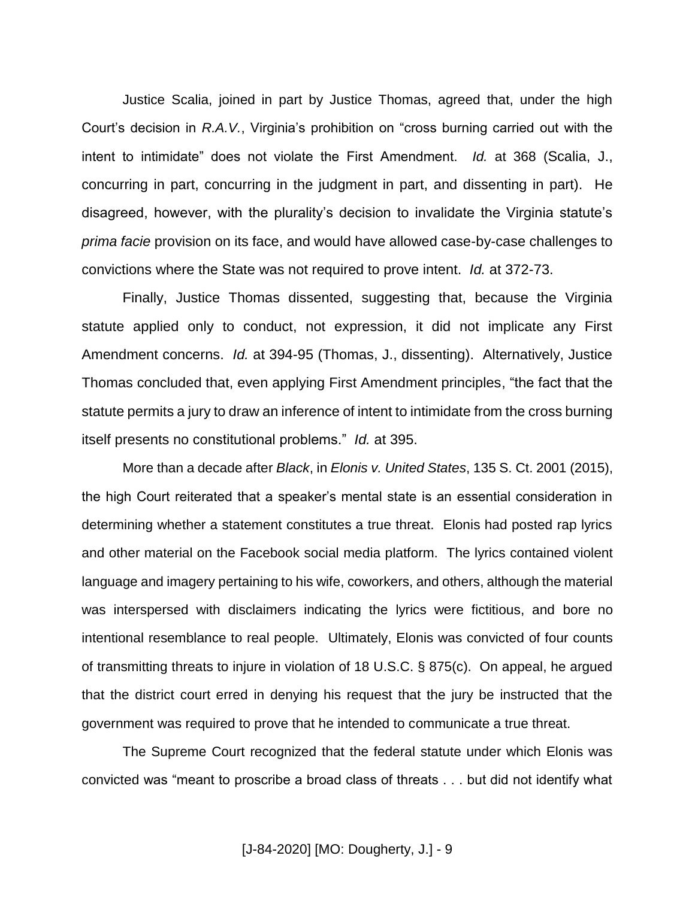Justice Scalia, joined in part by Justice Thomas, agreed that, under the high Court's decision in *R.A.V.*, Virginia's prohibition on "cross burning carried out with the intent to intimidate" does not violate the First Amendment. *Id.* at 368 (Scalia, J., concurring in part, concurring in the judgment in part, and dissenting in part). He disagreed, however, with the plurality's decision to invalidate the Virginia statute's *prima facie* provision on its face, and would have allowed case-by-case challenges to convictions where the State was not required to prove intent. *Id.* at 372-73.

Finally, Justice Thomas dissented, suggesting that, because the Virginia statute applied only to conduct, not expression, it did not implicate any First Amendment concerns. *Id.* at 394-95 (Thomas, J., dissenting). Alternatively, Justice Thomas concluded that, even applying First Amendment principles, "the fact that the statute permits a jury to draw an inference of intent to intimidate from the cross burning itself presents no constitutional problems." *Id.* at 395.

More than a decade after *Black*, in *Elonis v. United States*, 135 S. Ct. 2001 (2015), the high Court reiterated that a speaker's mental state is an essential consideration in determining whether a statement constitutes a true threat. Elonis had posted rap lyrics and other material on the Facebook social media platform. The lyrics contained violent language and imagery pertaining to his wife, coworkers, and others, although the material was interspersed with disclaimers indicating the lyrics were fictitious, and bore no intentional resemblance to real people. Ultimately, Elonis was convicted of four counts of transmitting threats to injure in violation of 18 U.S.C. § 875(c). On appeal, he argued that the district court erred in denying his request that the jury be instructed that the government was required to prove that he intended to communicate a true threat.

The Supreme Court recognized that the federal statute under which Elonis was convicted was "meant to proscribe a broad class of threats . . . but did not identify what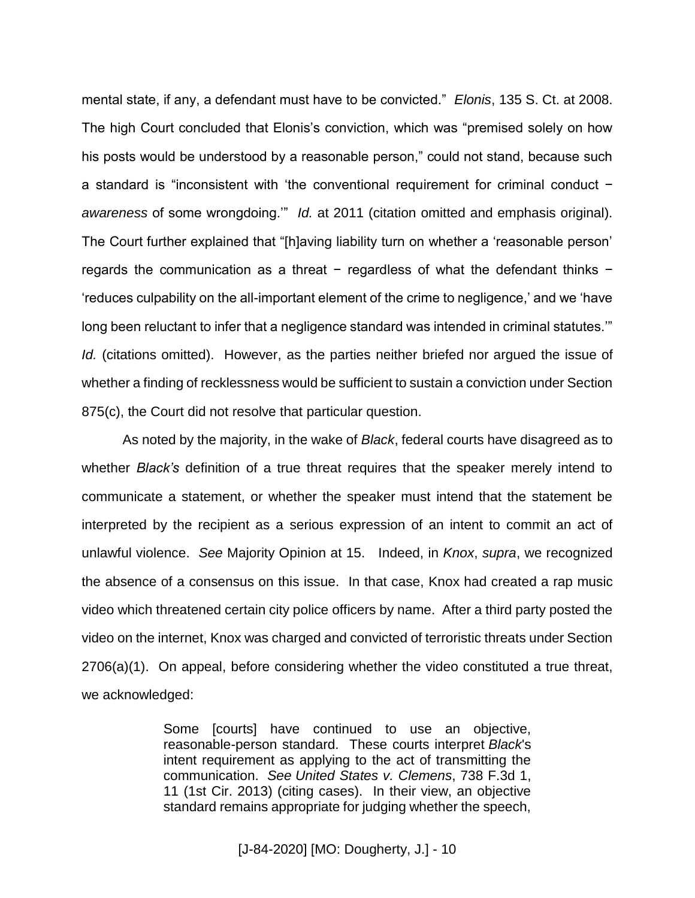mental state, if any, a defendant must have to be convicted." *Elonis*, 135 S. Ct. at 2008. The high Court concluded that Elonis's conviction, which was "premised solely on how his posts would be understood by a reasonable person," could not stand, because such a standard is "inconsistent with 'the conventional requirement for criminal conduct − *awareness* of some wrongdoing.'" *Id.* at 2011 (citation omitted and emphasis original). The Court further explained that "[h]aving liability turn on whether a 'reasonable person' regards the communication as a threat − regardless of what the defendant thinks − 'reduces culpability on the all-important element of the crime to negligence,' and we 'have long been reluctant to infer that a negligence standard was intended in criminal statutes.'" *Id.* (citations omitted). However, as the parties neither briefed nor argued the issue of whether a finding of recklessness would be sufficient to sustain a conviction under Section 875(c), the Court did not resolve that particular question.

As noted by the majority, in the wake of *Black*, federal courts have disagreed as to whether *Black's* definition of a true threat requires that the speaker merely intend to communicate a statement, or whether the speaker must intend that the statement be interpreted by the recipient as a serious expression of an intent to commit an act of unlawful violence. *See* Majority Opinion at 15. Indeed, in *Knox*, *supra*, we recognized the absence of a consensus on this issue. In that case, Knox had created a rap music video which threatened certain city police officers by name. After a third party posted the video on the internet, Knox was charged and convicted of terroristic threats under Section 2706(a)(1). On appeal, before considering whether the video constituted a true threat, we acknowledged:

> Some [courts] have continued to use an objective, reasonable-person standard. These courts interpret *Black*'s intent requirement as applying to the act of transmitting the communication. *See United States v. Clemens*, 738 F.3d 1, 11 (1st Cir. 2013) (citing cases). In their view, an objective standard remains appropriate for judging whether the speech,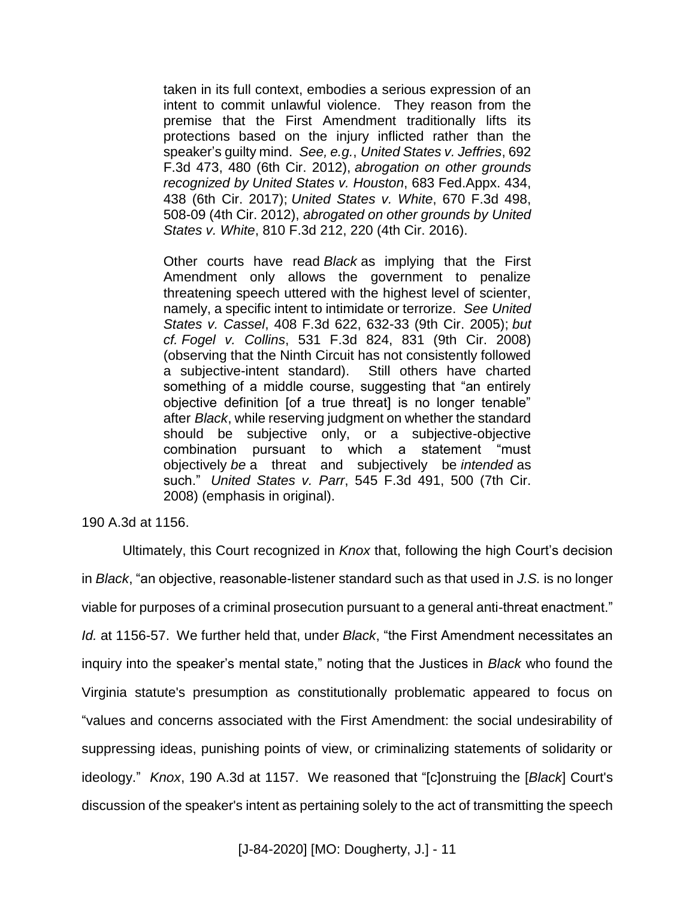taken in its full context, embodies a serious expression of an intent to commit unlawful violence. They reason from the premise that the First Amendment traditionally lifts its protections based on the injury inflicted rather than the speaker's guilty mind. *See, e.g.*, *United States v. Jeffries*, 692 F.3d 473, 480 (6th Cir. 2012), *abrogation on other grounds recognized by United States v. Houston*, 683 Fed.Appx. 434, 438 (6th Cir. 2017); *United States v. White*, 670 F.3d 498, 508-09 (4th Cir. 2012), *abrogated on other grounds by United States v. White*, 810 F.3d 212, 220 (4th Cir. 2016).

Other courts have read *Black* as implying that the First Amendment only allows the government to penalize threatening speech uttered with the highest level of scienter, namely, a specific intent to intimidate or terrorize. *See United States v. Cassel*, 408 F.3d 622, 632-33 (9th Cir. 2005); *but cf. Fogel v. Collins*, 531 F.3d 824, 831 (9th Cir. 2008) (observing that the Ninth Circuit has not consistently followed a subjective-intent standard). Still others have charted something of a middle course, suggesting that "an entirely objective definition [of a true threat] is no longer tenable" after *Black*, while reserving judgment on whether the standard should be subjective only, or a subjective-objective combination pursuant to which a statement "must objectively *be* a threat and subjectively be *intended* as such." *United States v. Parr*, 545 F.3d 491, 500 (7th Cir. 2008) (emphasis in original).

190 A.3d at 1156.

Ultimately, this Court recognized in *Knox* that, following the high Court's decision in *Black*, "an objective, reasonable-listener standard such as that used in *J.S.* is no longer viable for purposes of a criminal prosecution pursuant to a general anti-threat enactment." *Id.* at 1156-57. We further held that, under *Black*, "the First Amendment necessitates an inquiry into the speaker's mental state," noting that the Justices in *Black* who found the Virginia statute's presumption as constitutionally problematic appeared to focus on "values and concerns associated with the First Amendment: the social undesirability of suppressing ideas, punishing points of view, or criminalizing statements of solidarity or ideology." *Knox*, 190 A.3d at 1157. We reasoned that "[c]onstruing the [*Black*] Court's discussion of the speaker's intent as pertaining solely to the act of transmitting the speech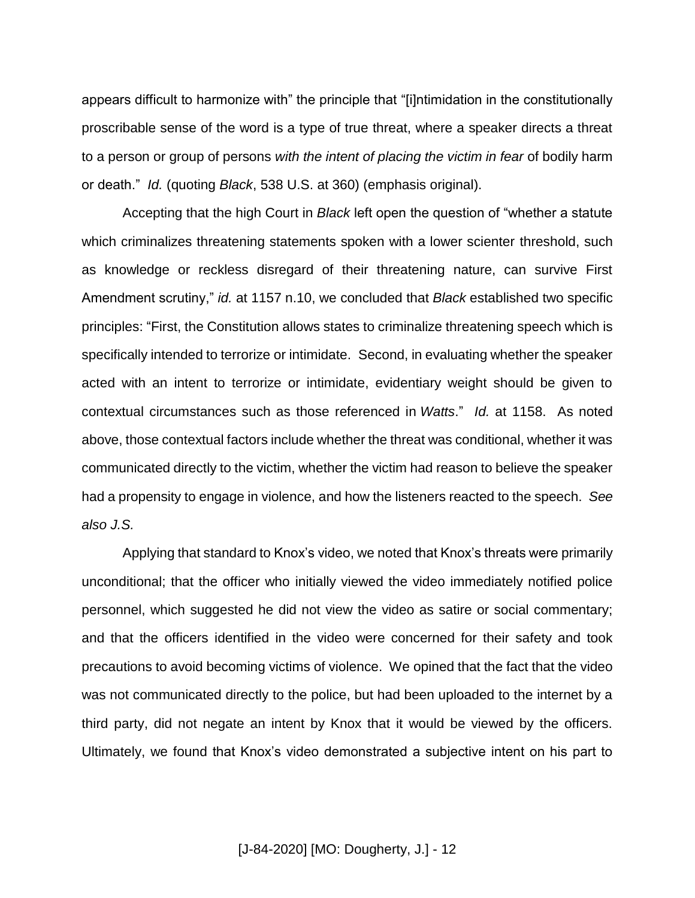appears difficult to harmonize with" the principle that "[i]ntimidation in the constitutionally proscribable sense of the word is a type of true threat, where a speaker directs a threat to a person or group of persons *with the intent of placing the victim in fear* of bodily harm or death." *Id.* (quoting *Black*, 538 U.S. at 360) (emphasis original).

Accepting that the high Court in *Black* left open the question of "whether a statute which criminalizes threatening statements spoken with a lower scienter threshold, such as knowledge or reckless disregard of their threatening nature, can survive First Amendment scrutiny," *id.* at 1157 n.10, we concluded that *Black* established two specific principles: "First, the Constitution allows states to criminalize threatening speech which is specifically intended to terrorize or intimidate. Second, in evaluating whether the speaker acted with an intent to terrorize or intimidate, evidentiary weight should be given to contextual circumstances such as those referenced in *Watts*." *Id.* at 1158. As noted above, those contextual factors include whether the threat was conditional, whether it was communicated directly to the victim, whether the victim had reason to believe the speaker had a propensity to engage in violence, and how the listeners reacted to the speech. *See also J.S.*

Applying that standard to Knox's video, we noted that Knox's threats were primarily unconditional; that the officer who initially viewed the video immediately notified police personnel, which suggested he did not view the video as satire or social commentary; and that the officers identified in the video were concerned for their safety and took precautions to avoid becoming victims of violence. We opined that the fact that the video was not communicated directly to the police, but had been uploaded to the internet by a third party, did not negate an intent by Knox that it would be viewed by the officers. Ultimately, we found that Knox's video demonstrated a subjective intent on his part to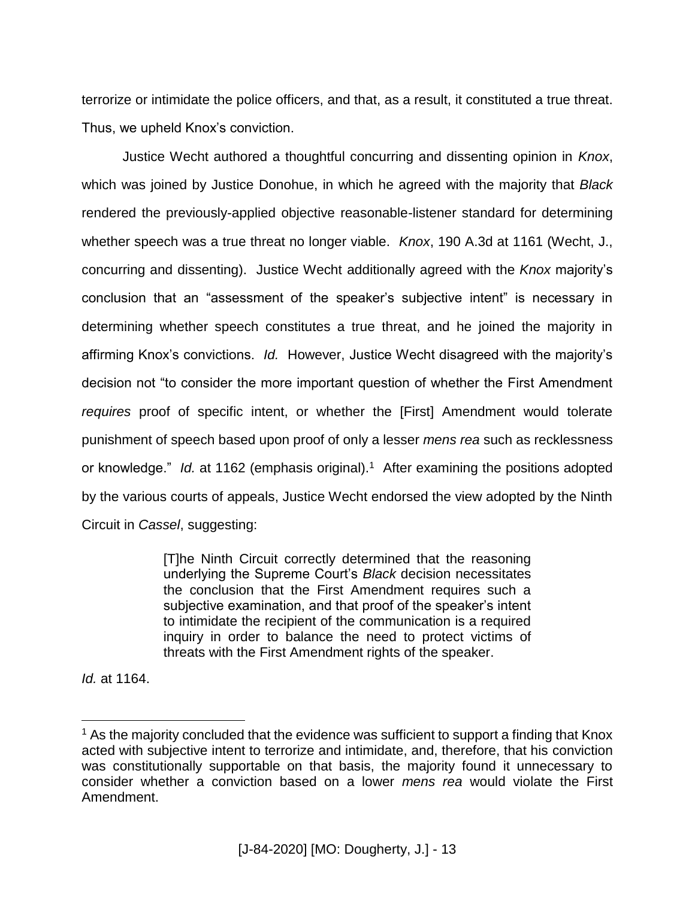terrorize or intimidate the police officers, and that, as a result, it constituted a true threat. Thus, we upheld Knox's conviction.

Justice Wecht authored a thoughtful concurring and dissenting opinion in *Knox*, which was joined by Justice Donohue, in which he agreed with the majority that *Black* rendered the previously-applied objective reasonable-listener standard for determining whether speech was a true threat no longer viable. *Knox*, 190 A.3d at 1161 (Wecht, J., concurring and dissenting). Justice Wecht additionally agreed with the *Knox* majority's conclusion that an "assessment of the speaker's subjective intent" is necessary in determining whether speech constitutes a true threat, and he joined the majority in affirming Knox's convictions. *Id.* However, Justice Wecht disagreed with the majority's decision not "to consider the more important question of whether the First Amendment *requires* proof of specific intent, or whether the [First] Amendment would tolerate punishment of speech based upon proof of only a lesser *mens rea* such as recklessness or knowledge." Id. at 1162 (emphasis original).<sup>1</sup> After examining the positions adopted by the various courts of appeals, Justice Wecht endorsed the view adopted by the Ninth Circuit in *Cassel*, suggesting:

> [T]he Ninth Circuit correctly determined that the reasoning underlying the Supreme Court's *Black* decision necessitates the conclusion that the First Amendment requires such a subjective examination, and that proof of the speaker's intent to intimidate the recipient of the communication is a required inquiry in order to balance the need to protect victims of threats with the First Amendment rights of the speaker.

*Id.* at 1164.

 $\overline{a}$ 

 $<sup>1</sup>$  As the majority concluded that the evidence was sufficient to support a finding that Knox</sup> acted with subjective intent to terrorize and intimidate, and, therefore, that his conviction was constitutionally supportable on that basis, the majority found it unnecessary to consider whether a conviction based on a lower *mens rea* would violate the First Amendment.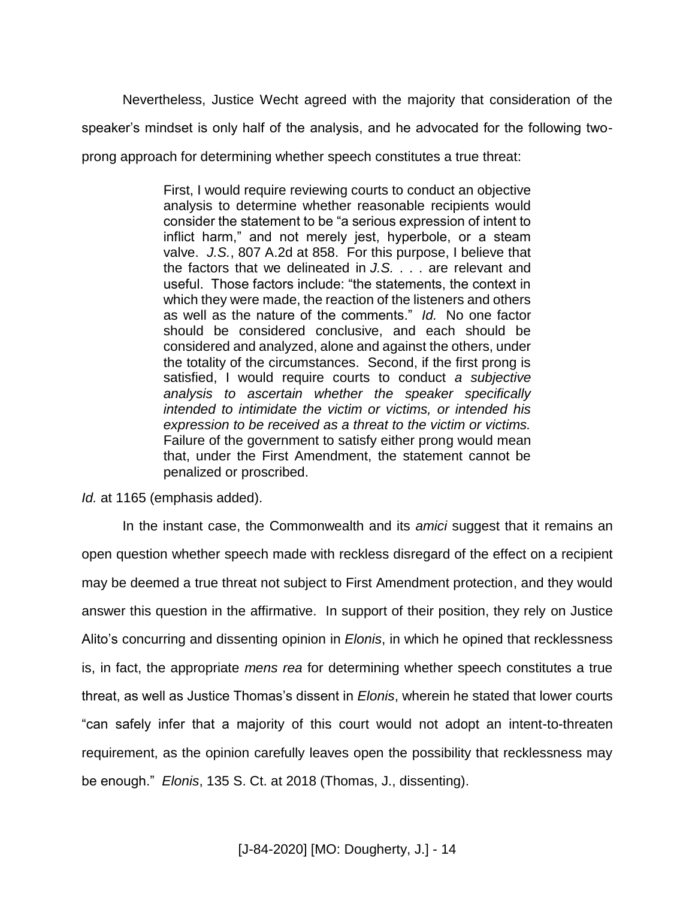Nevertheless, Justice Wecht agreed with the majority that consideration of the speaker's mindset is only half of the analysis, and he advocated for the following twoprong approach for determining whether speech constitutes a true threat:

> First, I would require reviewing courts to conduct an objective analysis to determine whether reasonable recipients would consider the statement to be "a serious expression of intent to inflict harm," and not merely jest, hyperbole, or a steam valve. *J.S.*, 807 A.2d at 858. For this purpose, I believe that the factors that we delineated in *J.S.* . . . are relevant and useful. Those factors include: "the statements, the context in which they were made, the reaction of the listeners and others as well as the nature of the comments." *Id.* No one factor should be considered conclusive, and each should be considered and analyzed, alone and against the others, under the totality of the circumstances. Second, if the first prong is satisfied, I would require courts to conduct *a subjective analysis to ascertain whether the speaker specifically intended to intimidate the victim or victims, or intended his expression to be received as a threat to the victim or victims.* Failure of the government to satisfy either prong would mean that, under the First Amendment, the statement cannot be penalized or proscribed.

*Id.* at 1165 (emphasis added).

In the instant case, the Commonwealth and its *amici* suggest that it remains an open question whether speech made with reckless disregard of the effect on a recipient may be deemed a true threat not subject to First Amendment protection, and they would answer this question in the affirmative. In support of their position, they rely on Justice Alito's concurring and dissenting opinion in *Elonis*, in which he opined that recklessness is, in fact, the appropriate *mens rea* for determining whether speech constitutes a true threat, as well as Justice Thomas's dissent in *Elonis*, wherein he stated that lower courts "can safely infer that a majority of this court would not adopt an intent-to-threaten requirement, as the opinion carefully leaves open the possibility that recklessness may be enough." *Elonis*, 135 S. Ct. at 2018 (Thomas, J., dissenting).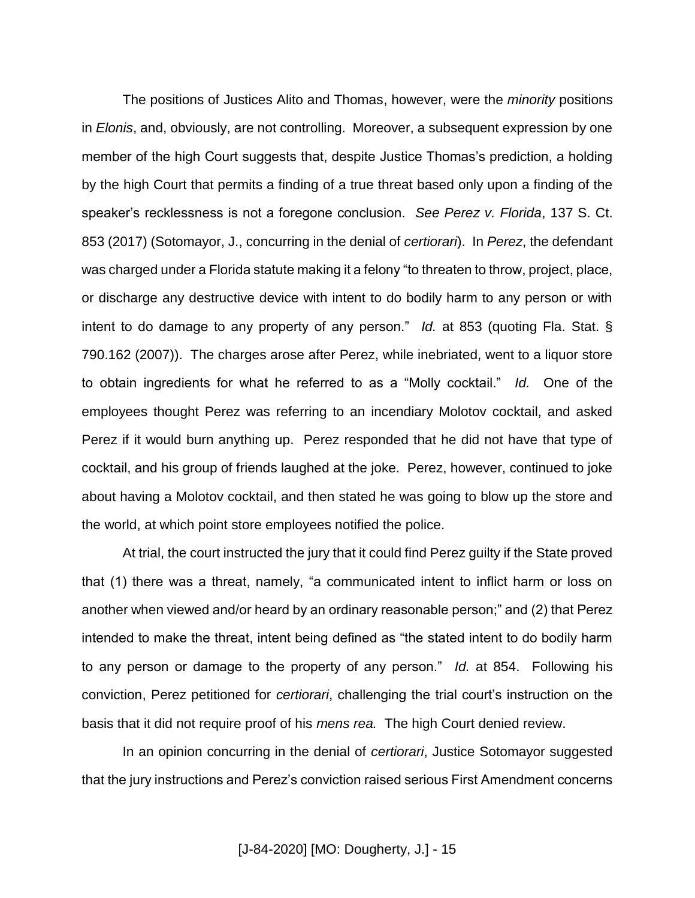The positions of Justices Alito and Thomas, however, were the *minority* positions in *Elonis*, and, obviously, are not controlling. Moreover, a subsequent expression by one member of the high Court suggests that, despite Justice Thomas's prediction, a holding by the high Court that permits a finding of a true threat based only upon a finding of the speaker's recklessness is not a foregone conclusion. *See Perez v. Florida*, 137 S. Ct. 853 (2017) (Sotomayor, J., concurring in the denial of *certiorari*). In *Perez*, the defendant was charged under a Florida statute making it a felony "to threaten to throw, project, place, or discharge any destructive device with intent to do bodily harm to any person or with intent to do damage to any property of any person." *Id.* at 853 (quoting Fla. Stat. § 790.162 (2007)). The charges arose after Perez, while inebriated, went to a liquor store to obtain ingredients for what he referred to as a "Molly cocktail." *Id.* One of the employees thought Perez was referring to an incendiary Molotov cocktail, and asked Perez if it would burn anything up. Perez responded that he did not have that type of cocktail, and his group of friends laughed at the joke. Perez, however, continued to joke about having a Molotov cocktail, and then stated he was going to blow up the store and the world, at which point store employees notified the police.

At trial, the court instructed the jury that it could find Perez guilty if the State proved that (1) there was a threat, namely, "a communicated intent to inflict harm or loss on another when viewed and/or heard by an ordinary reasonable person;" and (2) that Perez intended to make the threat, intent being defined as "the stated intent to do bodily harm to any person or damage to the property of any person." *Id.* at 854. Following his conviction, Perez petitioned for *certiorari*, challenging the trial court's instruction on the basis that it did not require proof of his *mens rea.* The high Court denied review.

In an opinion concurring in the denial of *certiorari*, Justice Sotomayor suggested that the jury instructions and Perez's conviction raised serious First Amendment concerns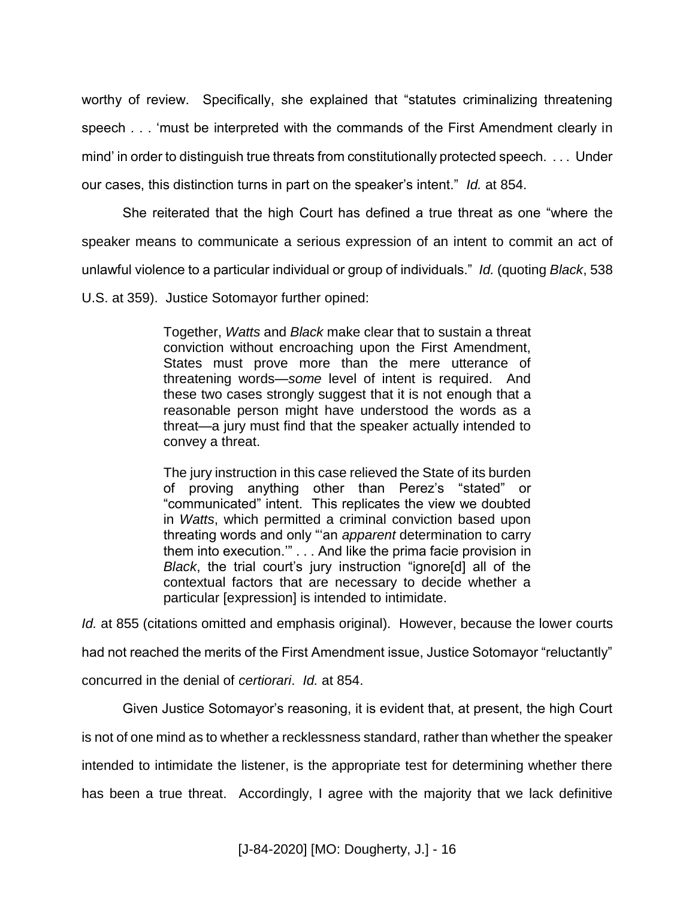worthy of review. Specifically, she explained that "statutes criminalizing threatening speech . . . 'must be interpreted with the commands of the First Amendment clearly in mind' in order to distinguish true threats from constitutionally protected speech. . . . Under our cases, this distinction turns in part on the speaker's intent." *Id.* at 854.

She reiterated that the high Court has defined a true threat as one "where the speaker means to communicate a serious expression of an intent to commit an act of unlawful violence to a particular individual or group of individuals." *Id.* (quoting *Black*, 538 U.S. at 359). Justice Sotomayor further opined:

> Together, *Watts* and *Black* make clear that to sustain a threat conviction without encroaching upon the First Amendment, States must prove more than the mere utterance of threatening words—*some* level of intent is required. And these two cases strongly suggest that it is not enough that a reasonable person might have understood the words as a threat—a jury must find that the speaker actually intended to convey a threat.

> The jury instruction in this case relieved the State of its burden of proving anything other than Perez's "stated" or "communicated" intent. This replicates the view we doubted in *Watts*, which permitted a criminal conviction based upon threating words and only "'an *apparent* determination to carry them into execution.'" . . . And like the prima facie provision in *Black*, the trial court's jury instruction "ignore[d] all of the contextual factors that are necessary to decide whether a particular [expression] is intended to intimidate.

*Id.* at 855 (citations omitted and emphasis original). However, because the lower courts had not reached the merits of the First Amendment issue, Justice Sotomayor "reluctantly" concurred in the denial of *certiorari*. *Id.* at 854.

Given Justice Sotomayor's reasoning, it is evident that, at present, the high Court is not of one mind as to whether a recklessness standard, rather than whether the speaker intended to intimidate the listener, is the appropriate test for determining whether there has been a true threat. Accordingly, I agree with the majority that we lack definitive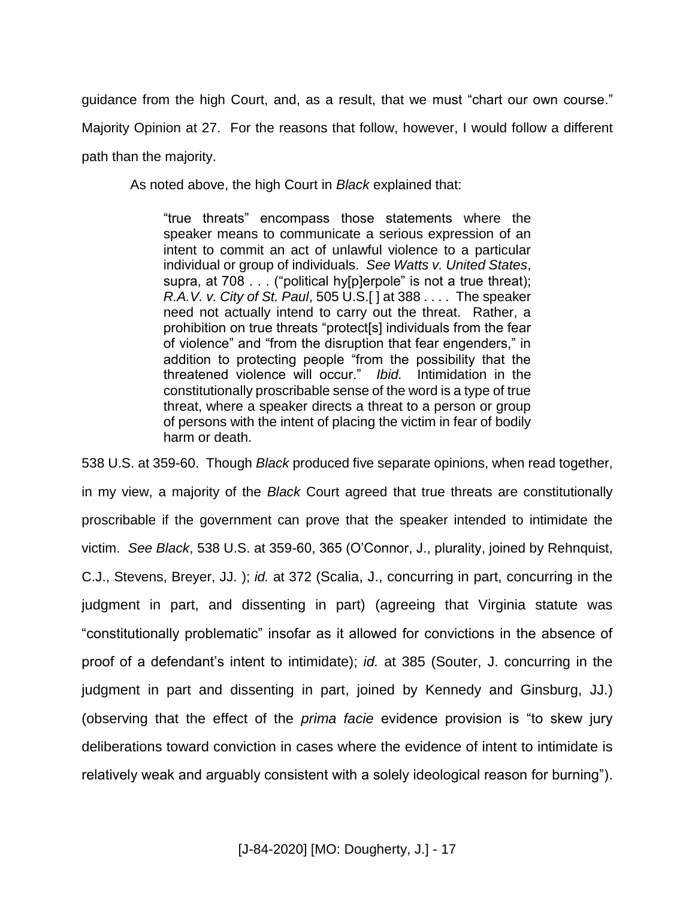guidance from the high Court, and, as a result, that we must "chart our own course." Majority Opinion at 27. For the reasons that follow, however, I would follow a different path than the majority.

As noted above, the high Court in *Black* explained that:

"true threats" encompass those statements where the speaker means to communicate a serious expression of an intent to commit an act of unlawful violence to a particular individual or group of individuals. *See Watts v. United States*, supra, at 708 . . . ("political hy[p]erpole" is not a true threat); *R.A.V. v. City of St. Paul*, 505 U.S.[ ] at 388 . . . . The speaker need not actually intend to carry out the threat. Rather, a prohibition on true threats "protect[s] individuals from the fear of violence" and "from the disruption that fear engenders," in addition to protecting people "from the possibility that the threatened violence will occur." *Ibid.* Intimidation in the constitutionally proscribable sense of the word is a type of true threat, where a speaker directs a threat to a person or group of persons with the intent of placing the victim in fear of bodily harm or death.

538 U.S. at 359-60. Though *Black* produced five separate opinions, when read together, in my view, a majority of the *Black* Court agreed that true threats are constitutionally proscribable if the government can prove that the speaker intended to intimidate the victim. *See Black*, 538 U.S. at 359-60, 365 (O'Connor, J., plurality, joined by Rehnquist, C.J., Stevens, Breyer, JJ. ); *id.* at 372 (Scalia, J., concurring in part, concurring in the judgment in part, and dissenting in part) (agreeing that Virginia statute was "constitutionally problematic" insofar as it allowed for convictions in the absence of proof of a defendant's intent to intimidate); *id.* at 385 (Souter, J. concurring in the judgment in part and dissenting in part, joined by Kennedy and Ginsburg, JJ.) (observing that the effect of the *prima facie* evidence provision is "to skew jury deliberations toward conviction in cases where the evidence of intent to intimidate is relatively weak and arguably consistent with a solely ideological reason for burning").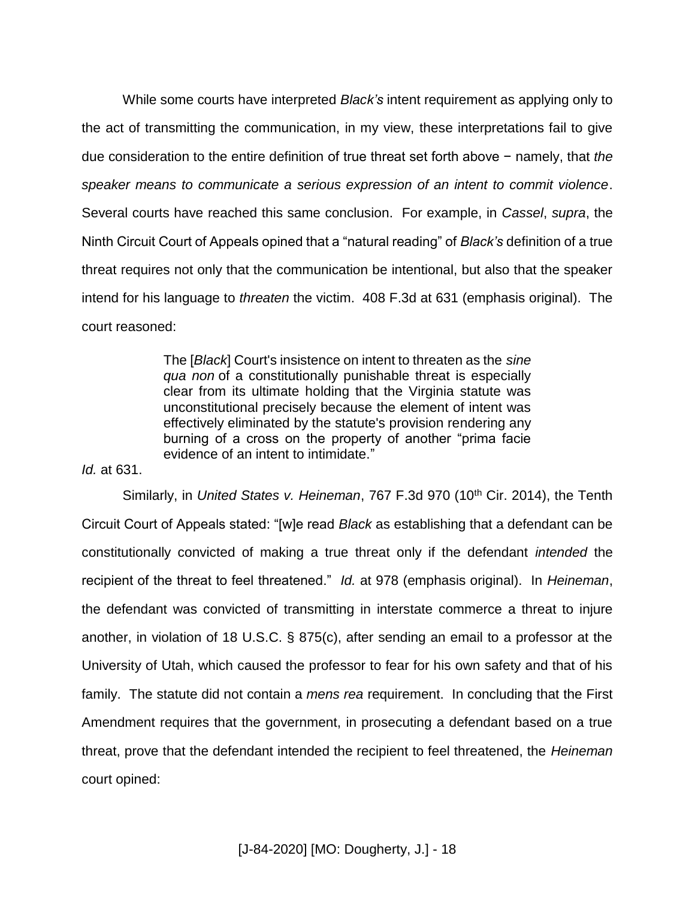While some courts have interpreted *Black's* intent requirement as applying only to the act of transmitting the communication, in my view, these interpretations fail to give due consideration to the entire definition of true threat set forth above − namely, that *the speaker means to communicate a serious expression of an intent to commit violence*. Several courts have reached this same conclusion. For example, in *Cassel*, *supra*, the Ninth Circuit Court of Appeals opined that a "natural reading" of *Black's* definition of a true threat requires not only that the communication be intentional, but also that the speaker intend for his language to *threaten* the victim. 408 F.3d at 631 (emphasis original). The court reasoned:

> The [*Black*] Court's insistence on intent to threaten as the *sine qua non* of a constitutionally punishable threat is especially clear from its ultimate holding that the Virginia statute was unconstitutional precisely because the element of intent was effectively eliminated by the statute's provision rendering any burning of a cross on the property of another "prima facie evidence of an intent to intimidate."

*Id.* at 631.

Similarly, in *United States v. Heineman*, 767 F.3d 970 (10<sup>th</sup> Cir. 2014), the Tenth Circuit Court of Appeals stated: "[w]e read *Black* as establishing that a defendant can be constitutionally convicted of making a true threat only if the defendant *intended* the recipient of the threat to feel threatened." *Id.* at 978 (emphasis original). In *Heineman*, the defendant was convicted of transmitting in interstate commerce a threat to injure another, in violation of 18 U.S.C. § 875(c), after sending an email to a professor at the University of Utah, which caused the professor to fear for his own safety and that of his family. The statute did not contain a *mens rea* requirement. In concluding that the First Amendment requires that the government, in prosecuting a defendant based on a true threat, prove that the defendant intended the recipient to feel threatened, the *Heineman* court opined: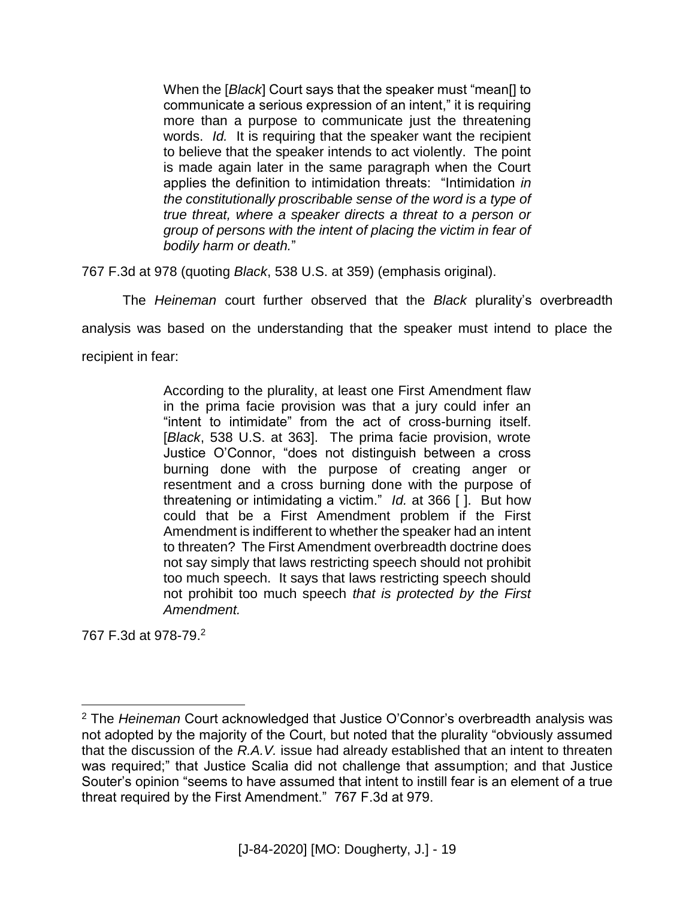When the [*Black*] Court says that the speaker must "mean[] to communicate a serious expression of an intent," it is requiring more than a purpose to communicate just the threatening words. *Id.* It is requiring that the speaker want the recipient to believe that the speaker intends to act violently. The point is made again later in the same paragraph when the Court applies the definition to intimidation threats: "Intimidation *in the constitutionally proscribable sense of the word is a type of true threat, where a speaker directs a threat to a person or group of persons with the intent of placing the victim in fear of bodily harm or death.*"

767 F.3d at 978 (quoting *Black*, 538 U.S. at 359) (emphasis original).

The *Heineman* court further observed that the *Black* plurality's overbreadth

analysis was based on the understanding that the speaker must intend to place the

recipient in fear:

According to the plurality, at least one First Amendment flaw in the prima facie provision was that a jury could infer an "intent to intimidate" from the act of cross-burning itself. [*Black*, 538 U.S. at 363]. The prima facie provision, wrote Justice O'Connor, "does not distinguish between a cross burning done with the purpose of creating anger or resentment and a cross burning done with the purpose of threatening or intimidating a victim." *Id.* at 366 [ ]. But how could that be a First Amendment problem if the First Amendment is indifferent to whether the speaker had an intent to threaten? The First Amendment overbreadth doctrine does not say simply that laws restricting speech should not prohibit too much speech. It says that laws restricting speech should not prohibit too much speech *that is protected by the First Amendment.*

767 F.3d at 978-79.<sup>2</sup>

 $\overline{a}$ 

<sup>2</sup> The *Heineman* Court acknowledged that Justice O'Connor's overbreadth analysis was not adopted by the majority of the Court, but noted that the plurality "obviously assumed that the discussion of the *R.A.V.* issue had already established that an intent to threaten was required;" that Justice Scalia did not challenge that assumption; and that Justice Souter's opinion "seems to have assumed that intent to instill fear is an element of a true threat required by the First Amendment." 767 F.3d at 979.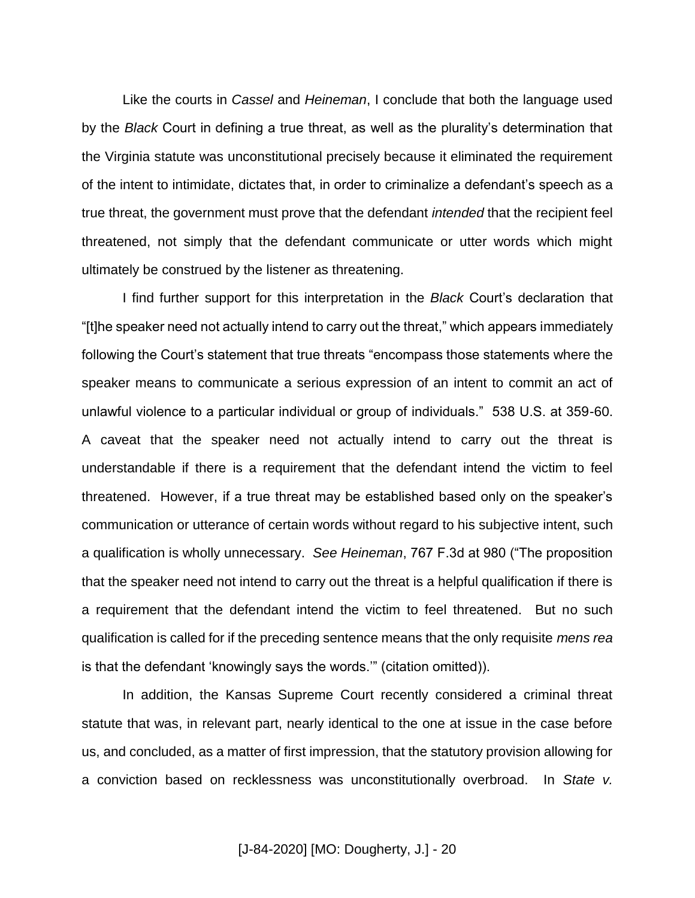Like the courts in *Cassel* and *Heineman*, I conclude that both the language used by the *Black* Court in defining a true threat, as well as the plurality's determination that the Virginia statute was unconstitutional precisely because it eliminated the requirement of the intent to intimidate, dictates that, in order to criminalize a defendant's speech as a true threat, the government must prove that the defendant *intended* that the recipient feel threatened, not simply that the defendant communicate or utter words which might ultimately be construed by the listener as threatening.

I find further support for this interpretation in the *Black* Court's declaration that "[t]he speaker need not actually intend to carry out the threat," which appears immediately following the Court's statement that true threats "encompass those statements where the speaker means to communicate a serious expression of an intent to commit an act of unlawful violence to a particular individual or group of individuals." 538 U.S. at 359-60. A caveat that the speaker need not actually intend to carry out the threat is understandable if there is a requirement that the defendant intend the victim to feel threatened. However, if a true threat may be established based only on the speaker's communication or utterance of certain words without regard to his subjective intent, such a qualification is wholly unnecessary. *See Heineman*, 767 F.3d at 980 ("The proposition that the speaker need not intend to carry out the threat is a helpful qualification if there is a requirement that the defendant intend the victim to feel threatened. But no such qualification is called for if the preceding sentence means that the only requisite *mens rea* is that the defendant 'knowingly says the words.'" (citation omitted)).

In addition, the Kansas Supreme Court recently considered a criminal threat statute that was, in relevant part, nearly identical to the one at issue in the case before us, and concluded, as a matter of first impression, that the statutory provision allowing for a conviction based on recklessness was unconstitutionally overbroad. In *State v.*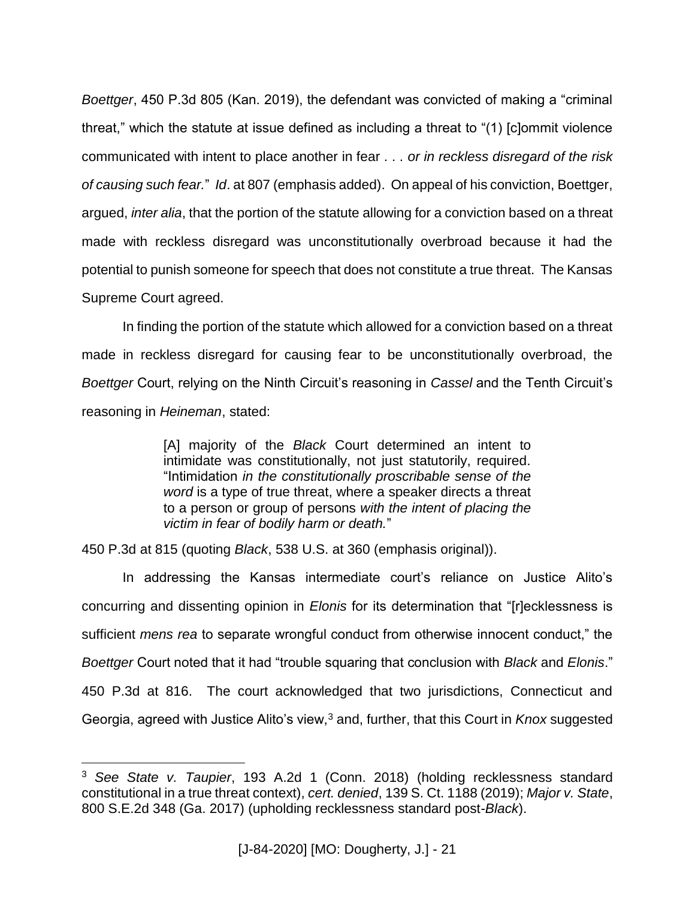*Boettger*, 450 P.3d 805 (Kan. 2019), the defendant was convicted of making a "criminal threat," which the statute at issue defined as including a threat to "(1) [c]ommit violence communicated with intent to place another in fear . . . *or in reckless disregard of the risk of causing such fear.*" *Id*. at 807 (emphasis added). On appeal of his conviction, Boettger, argued, *inter alia*, that the portion of the statute allowing for a conviction based on a threat made with reckless disregard was unconstitutionally overbroad because it had the potential to punish someone for speech that does not constitute a true threat. The Kansas Supreme Court agreed.

In finding the portion of the statute which allowed for a conviction based on a threat made in reckless disregard for causing fear to be unconstitutionally overbroad, the *Boettger* Court, relying on the Ninth Circuit's reasoning in *Cassel* and the Tenth Circuit's reasoning in *Heineman*, stated:

> [A] majority of the *Black* Court determined an intent to intimidate was constitutionally, not just statutorily, required. "Intimidation *in the constitutionally proscribable sense of the word* is a type of true threat, where a speaker directs a threat to a person or group of persons *with the intent of placing the victim in fear of bodily harm or death.*"

450 P.3d at 815 (quoting *Black*, 538 U.S. at 360 (emphasis original)).

 $\overline{a}$ 

In addressing the Kansas intermediate court's reliance on Justice Alito's concurring and dissenting opinion in *Elonis* for its determination that "[r]ecklessness is sufficient *mens rea* to separate wrongful conduct from otherwise innocent conduct," the *Boettger* Court noted that it had "trouble squaring that conclusion with *Black* and *Elonis*." 450 P.3d at 816. The court acknowledged that two jurisdictions, Connecticut and Georgia, agreed with Justice Alito's view,<sup>3</sup> and, further, that this Court in *Knox* suggested

<sup>3</sup> *See State v. Taupier*, 193 A.2d 1 (Conn. 2018) (holding recklessness standard constitutional in a true threat context), *cert. denied*, 139 S. Ct. 1188 (2019); *Major v. State*, 800 S.E.2d 348 (Ga. 2017) (upholding recklessness standard post-*Black*).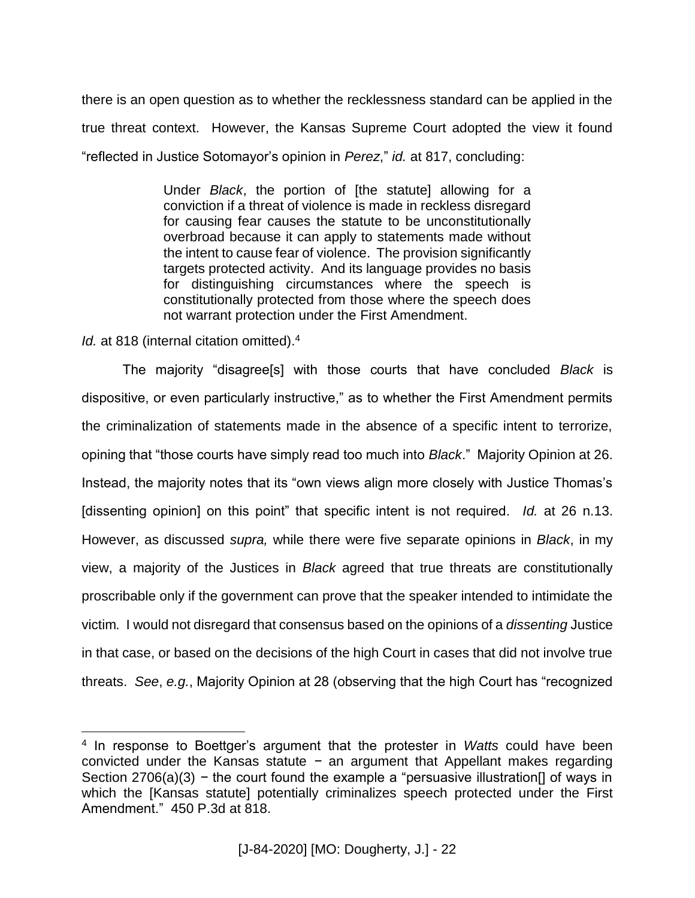there is an open question as to whether the recklessness standard can be applied in the true threat context. However, the Kansas Supreme Court adopted the view it found "reflected in Justice Sotomayor's opinion in *Perez*," *id.* at 817, concluding:

> Under *Black*, the portion of [the statute] allowing for a conviction if a threat of violence is made in reckless disregard for causing fear causes the statute to be unconstitutionally overbroad because it can apply to statements made without the intent to cause fear of violence. The provision significantly targets protected activity. And its language provides no basis for distinguishing circumstances where the speech is constitutionally protected from those where the speech does not warrant protection under the First Amendment.

*Id.* at 818 (internal citation omitted).<sup>4</sup>

 $\overline{a}$ 

The majority "disagree[s] with those courts that have concluded *Black* is dispositive, or even particularly instructive," as to whether the First Amendment permits the criminalization of statements made in the absence of a specific intent to terrorize, opining that "those courts have simply read too much into *Black*." Majority Opinion at 26. Instead, the majority notes that its "own views align more closely with Justice Thomas's [dissenting opinion] on this point" that specific intent is not required. *Id.* at 26 n.13. However, as discussed *supra,* while there were five separate opinions in *Black*, in my view, a majority of the Justices in *Black* agreed that true threats are constitutionally proscribable only if the government can prove that the speaker intended to intimidate the victim*.* I would not disregard that consensus based on the opinions of a *dissenting* Justice in that case, or based on the decisions of the high Court in cases that did not involve true threats. *See*, *e.g.*, Majority Opinion at 28 (observing that the high Court has "recognized

<sup>4</sup> In response to Boettger's argument that the protester in *Watts* could have been convicted under the Kansas statute *−* an argument that Appellant makes regarding Section 2706(a)(3) − the court found the example a "persuasive illustration<sup>[]</sup> of ways in which the [Kansas statute] potentially criminalizes speech protected under the First Amendment." 450 P.3d at 818.